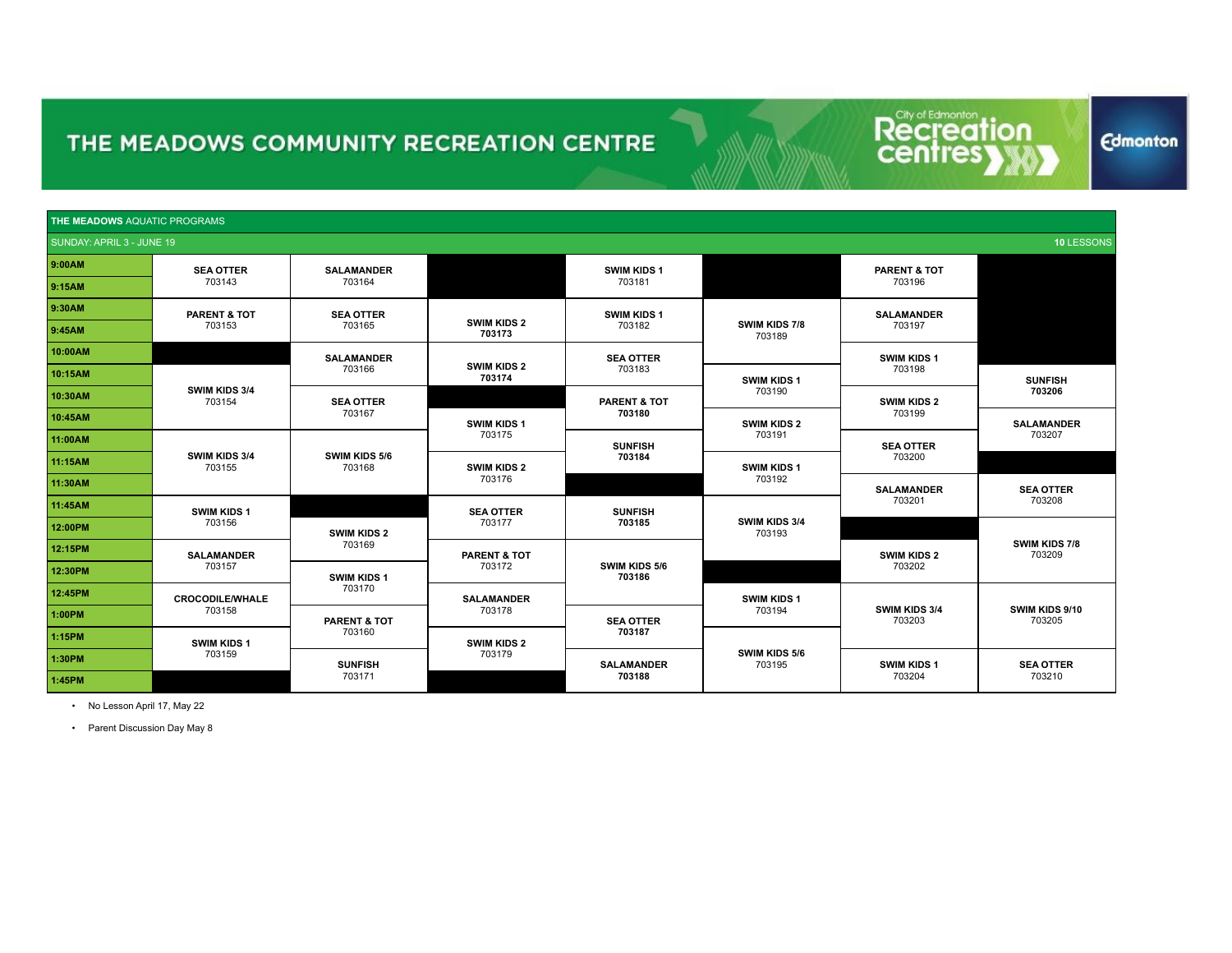Recreat tion

**Edmonton** 

| <b>THE MEADOWS AQUATIC PROGRAMS</b> |                         |                         |                              |                         |                         |                                                 |                          |        |
|-------------------------------------|-------------------------|-------------------------|------------------------------|-------------------------|-------------------------|-------------------------------------------------|--------------------------|--------|
| SUNDAY: APRIL 3 - JUNE 19           |                         |                         |                              |                         |                         |                                                 | 10 LESSONS               |        |
| 9:00AM                              | <b>SEA OTTER</b>        | <b>SALAMANDER</b>       |                              | <b>SWIM KIDS 1</b>      |                         | <b>PARENT &amp; TOT</b>                         |                          |        |
| 9:15AM                              | 703143                  | 703164                  |                              | 703181                  |                         | 703196                                          |                          |        |
| 9:30AM                              | <b>PARENT &amp; TOT</b> | <b>SEA OTTER</b>        |                              | <b>SWIM KIDS 1</b>      |                         | <b>SALAMANDER</b>                               |                          |        |
| 9:45AM                              | 703153                  | 703165                  | <b>SWIM KIDS 2</b><br>703173 | 703182                  | SWIM KIDS 7/8<br>703189 | 703197                                          |                          |        |
| 10:00AM                             |                         | <b>SALAMANDER</b>       |                              | <b>SEA OTTER</b>        |                         | SWIM KIDS 1                                     |                          |        |
| 10:15AM                             |                         | 703166                  | <b>SWIM KIDS 2</b><br>703174 | 703183                  | <b>SWIM KIDS 1</b>      | 703198                                          | <b>SUNFISH</b>           |        |
| 10:30AM                             | SWIM KIDS 3/4<br>703154 | <b>SEA OTTER</b>        |                              | <b>PARENT &amp; TOT</b> | 703190                  | <b>SWIM KIDS 2</b>                              | 703206                   |        |
| 10:45AM                             |                         | 703167                  | SWIM KIDS 1                  | 703180                  | <b>SWIM KIDS 2</b>      | 703199                                          | <b>SALAMANDER</b>        |        |
| 11:00AM                             |                         |                         | 703175                       | <b>SUNFISH</b>          | 703191                  | <b>SEA OTTER</b><br>703200<br><b>SALAMANDER</b> | 703207                   |        |
| 11:15AM                             | SWIM KIDS 3/4<br>703155 | SWIM KIDS 5/6<br>703168 | <b>SWIM KIDS 2</b>           | 703184                  | SWIM KIDS 1             |                                                 |                          |        |
| 11:30AM                             |                         |                         | 703176                       |                         | 703192                  |                                                 | <b>SEA OTTER</b>         |        |
| 11:45AM                             | SWIM KIDS 1             |                         | <b>SEA OTTER</b>             | <b>SUNFISH</b>          | SWIM KIDS 3/4<br>703193 |                                                 | 703201                   | 703208 |
| 12:00PM                             | 703156                  | <b>SWIM KIDS 2</b>      | 703177                       | 703185                  |                         |                                                 |                          |        |
| 12:15PM                             | <b>SALAMANDER</b>       | 703169                  | <b>PARENT &amp; TOT</b>      |                         |                         | <b>SWIM KIDS 2</b>                              | SWIM KIDS 7/8<br>703209  |        |
| 12:30PM                             | 703157                  | <b>SWIM KIDS 1</b>      | 703172                       | SWIM KIDS 5/6<br>703186 |                         | 703202                                          |                          |        |
| 12:45PM                             | <b>CROCODILE/WHALE</b>  | 703170                  | <b>SALAMANDER</b>            |                         | SWIM KIDS 1             | SWIM KIDS 3/4<br>703203                         |                          |        |
| 1:00PM                              | 703158                  | <b>PARENT &amp; TOT</b> | 703178                       | <b>SEA OTTER</b>        | 703194                  |                                                 | SWIM KIDS 9/10<br>703205 |        |
| 1:15PM                              | SWIM KIDS 1             | 703160                  | <b>SWIM KIDS 2</b>           | 703187                  |                         |                                                 |                          |        |
| 1:30PM                              | 703159                  | <b>SUNFISH</b>          | 703179                       | <b>SALAMANDER</b>       | SWIM KIDS 5/6<br>703195 | <b>SWIM KIDS 1</b>                              | <b>SEA OTTER</b>         |        |
| 1:45PM                              |                         | 703171                  |                              | 703188                  |                         | 703204                                          | 703210                   |        |

• No Lesson April 17, May 22

• Parent Discussion Day May 8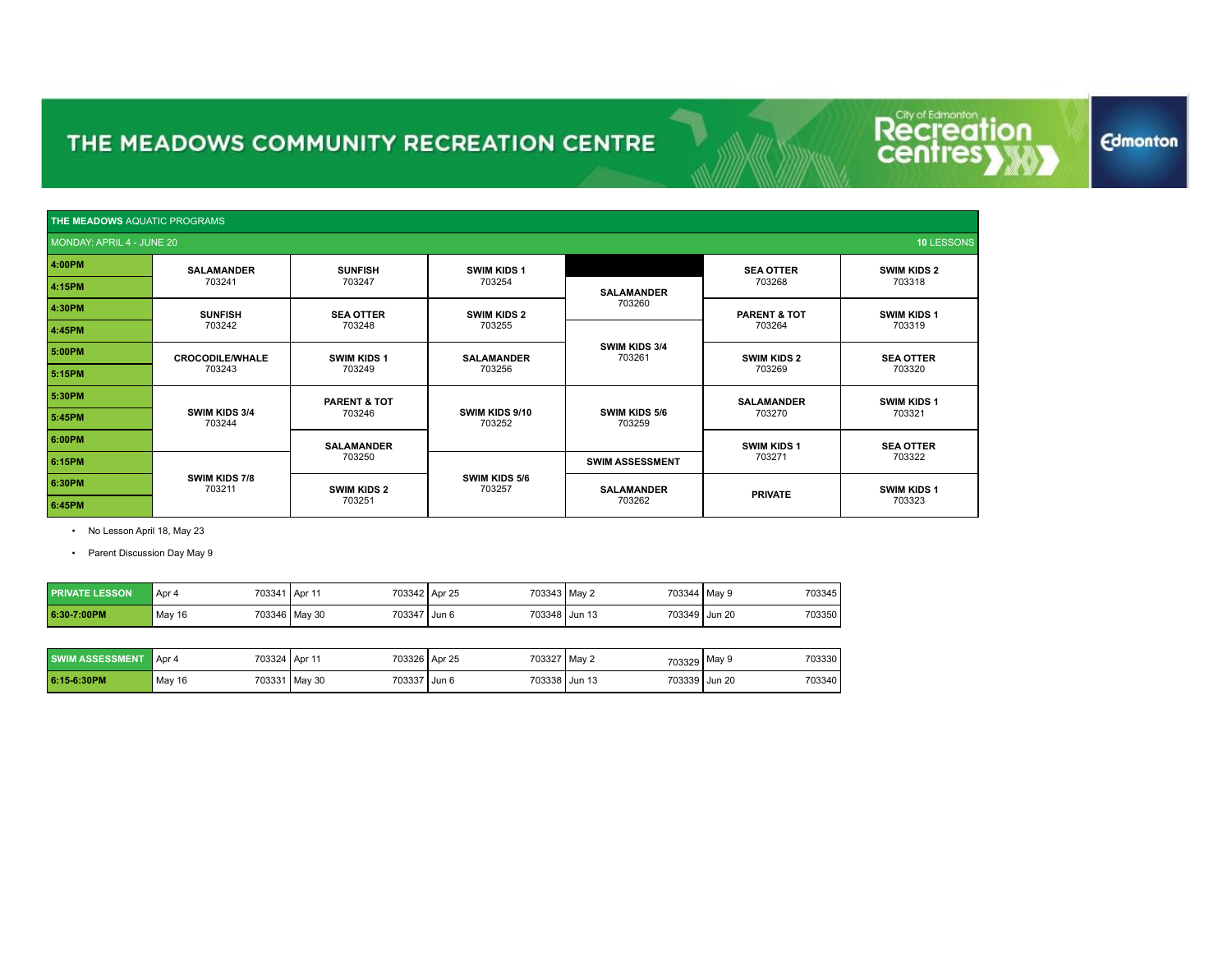|        | <b>THE MEADOWS AQUATIC PROGRAMS</b>     |                         |                             |                                |                         |                    |  |  |
|--------|-----------------------------------------|-------------------------|-----------------------------|--------------------------------|-------------------------|--------------------|--|--|
|        | 10 LESSONS<br>MONDAY: APRIL 4 - JUNE 20 |                         |                             |                                |                         |                    |  |  |
| 4:00PM | <b>SALAMANDER</b>                       | <b>SUNFISH</b>          | <b>SWIM KIDS 1</b>          |                                | <b>SEA OTTER</b>        | <b>SWIM KIDS 2</b> |  |  |
| 4:15PM | 703241                                  | 703247                  | 703254<br><b>SALAMANDER</b> |                                | 703268                  | 703318             |  |  |
| 4:30PM | <b>SUNFISH</b>                          | <b>SEA OTTER</b>        | <b>SWIM KIDS 2</b>          | 703260                         | <b>PARENT &amp; TOT</b> | <b>SWIM KIDS 1</b> |  |  |
| 4:45PM | 703242                                  | 703248                  | 703255                      |                                | 703264                  | 703319             |  |  |
| 5:00PM | <b>CROCODILE/WHALE</b>                  | <b>SWIM KIDS 1</b>      | <b>SALAMANDER</b>           | <b>SWIM KIDS 3/4</b><br>703261 | <b>SWIM KIDS 2</b>      | <b>SEA OTTER</b>   |  |  |
| 5:15PM | 703243                                  | 703249                  | 703256                      |                                | 703269                  | 703320             |  |  |
| 5:30PM |                                         | <b>PARENT &amp; TOT</b> |                             |                                | <b>SALAMANDER</b>       | <b>SWIM KIDS 1</b> |  |  |
| 5:45PM | SWIM KIDS 3/4<br>703244                 | 703246                  | SWIM KIDS 9/10<br>703252    | <b>SWIM KIDS 5/6</b><br>703259 | 703270                  | 703321             |  |  |
| 6:00PM |                                         | <b>SALAMANDER</b>       |                             |                                | <b>SWIM KIDS 1</b>      | <b>SEA OTTER</b>   |  |  |
| 6:15PM |                                         | 703250                  |                             | <b>SWIM ASSESSMENT</b>         | 703271                  | 703322             |  |  |
| 6:30PM | <b>SWIM KIDS 7/8</b><br>703211          | <b>SWIM KIDS 2</b>      | SWIM KIDS 5/6<br>703257     | <b>SALAMANDER</b>              | <b>PRIVATE</b>          | <b>SWIM KIDS 1</b> |  |  |
| 6:45PM |                                         | 703251                  |                             | 703262                         |                         | 703323             |  |  |

• No Lesson April 18, May 23

• Parent Discussion Day May 9

| <b>PRIVATE LESSON</b> | 703341<br>Apr 4 | 703342 Apr 25<br>1 Apr 1      | 703343 May 2  | 703344   May 9 | 703345 |
|-----------------------|-----------------|-------------------------------|---------------|----------------|--------|
| 6:30-7:00PM           | May 16          | 703347 Jun 6<br>703346 May 30 | 703348 Jun 13 | 703349 Jun 20  | 703350 |

| <b>SWIM ASSESSMENT</b> | 703324,<br>Apr 4 | 703326<br>$1$ Apr $1$ | 703327 May 2<br>Apr 25 | 703329   | 703330<br>May 9 |
|------------------------|------------------|-----------------------|------------------------|----------|-----------------|
| 6:15-6:30PM            | 703331           | 703337                | 703338                 | 703339   | <b>Jun 20</b>   |
|                        | May 16           | l Mav 30              | . Jun 6                | l Jun 13 | 703340          |

#### **Edmonton**

**Recreation**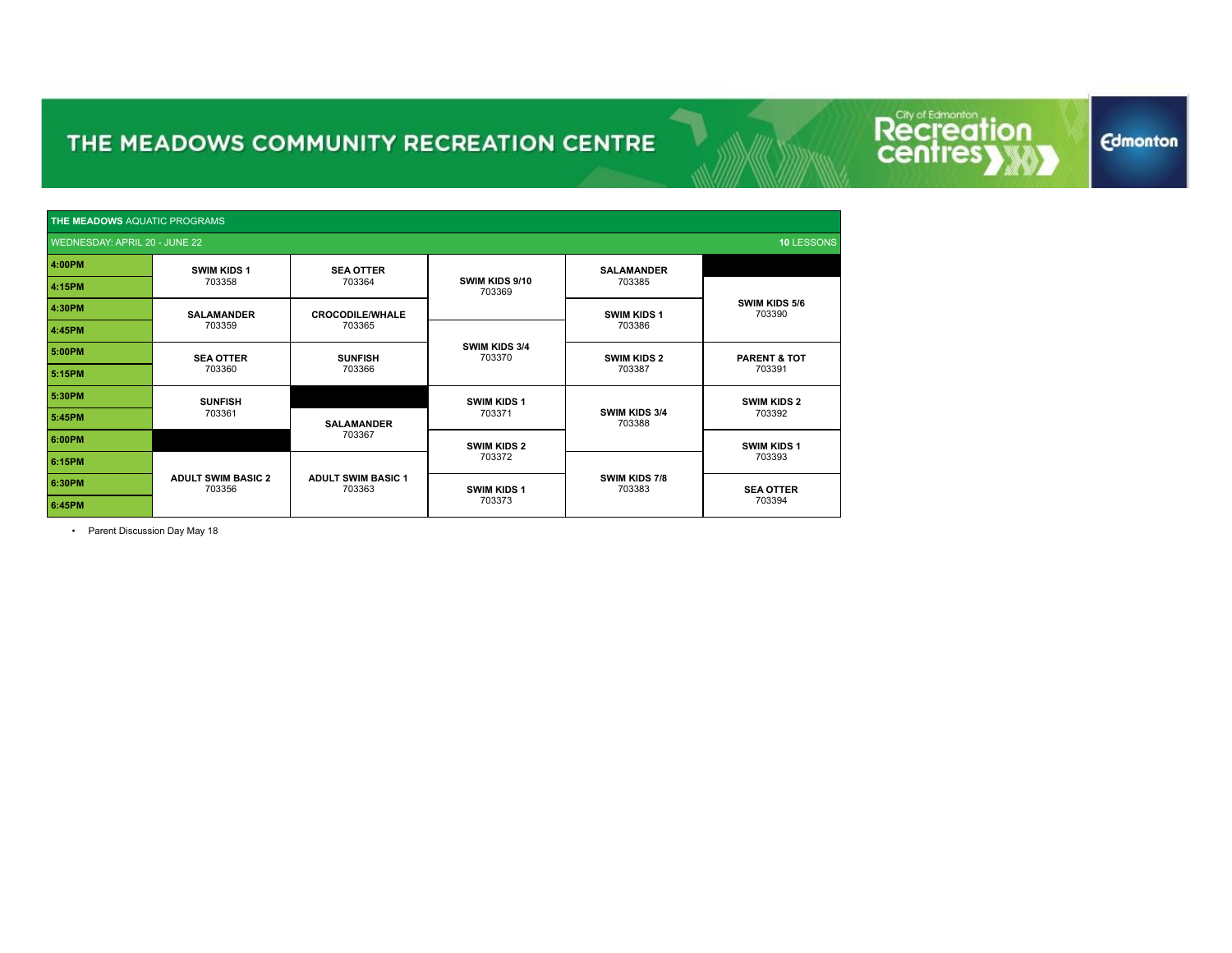Recreat ion

**Edmonton** 

| <b>THE MEADOWS AQUATIC PROGRAMS</b> |                                     |                                     |                          |                                |                                   |  |
|-------------------------------------|-------------------------------------|-------------------------------------|--------------------------|--------------------------------|-----------------------------------|--|
| WEDNESDAY: APRIL 20 - JUNE 22       |                                     |                                     |                          |                                | 10 LESSONS                        |  |
| 4:00PM                              | <b>SWIM KIDS 1</b>                  | <b>SEA OTTER</b>                    |                          | <b>SALAMANDER</b>              |                                   |  |
| 4:15PM                              | 703358                              | 703364                              | SWIM KIDS 9/10<br>703369 | 703385                         |                                   |  |
| 4:30PM                              | <b>SALAMANDER</b>                   | <b>CROCODILE/WHALE</b>              |                          |                                | SWIM KIDS 5/6<br>703390           |  |
| 4:45PM                              | 703359                              | 703365                              |                          | 703386                         |                                   |  |
| 5:00PM                              | <b>SEA OTTER</b>                    | <b>SUNFISH</b>                      | SWIM KIDS 3/4<br>703370  | <b>SWIM KIDS 2</b>             | <b>PARENT &amp; TOT</b><br>703391 |  |
| 5:15PM                              | 703360                              | 703366                              |                          | 703387                         |                                   |  |
| 5:30PM                              | <b>SUNFISH</b>                      |                                     | <b>SWIM KIDS 1</b>       |                                | <b>SWIM KIDS 2</b><br>703392      |  |
| 5:45PM                              | 703361                              | <b>SALAMANDER</b>                   | 703371                   | <b>SWIM KIDS 3/4</b><br>703388 |                                   |  |
| 6:00PM                              |                                     | 703367                              | <b>SWIM KIDS 2</b>       |                                | <b>SWIM KIDS 1</b>                |  |
| 6:15PM                              |                                     |                                     | 703372                   |                                | 703393                            |  |
| 6:30PM                              | <b>ADULT SWIM BASIC 2</b><br>703356 | <b>ADULT SWIM BASIC 1</b><br>703363 | <b>SWIM KIDS 1</b>       | <b>SWIM KIDS 7/8</b><br>703383 | <b>SEA OTTER</b>                  |  |
| 6:45PM                              |                                     |                                     | 703373                   |                                | 703394                            |  |

• Parent Discussion Day May 18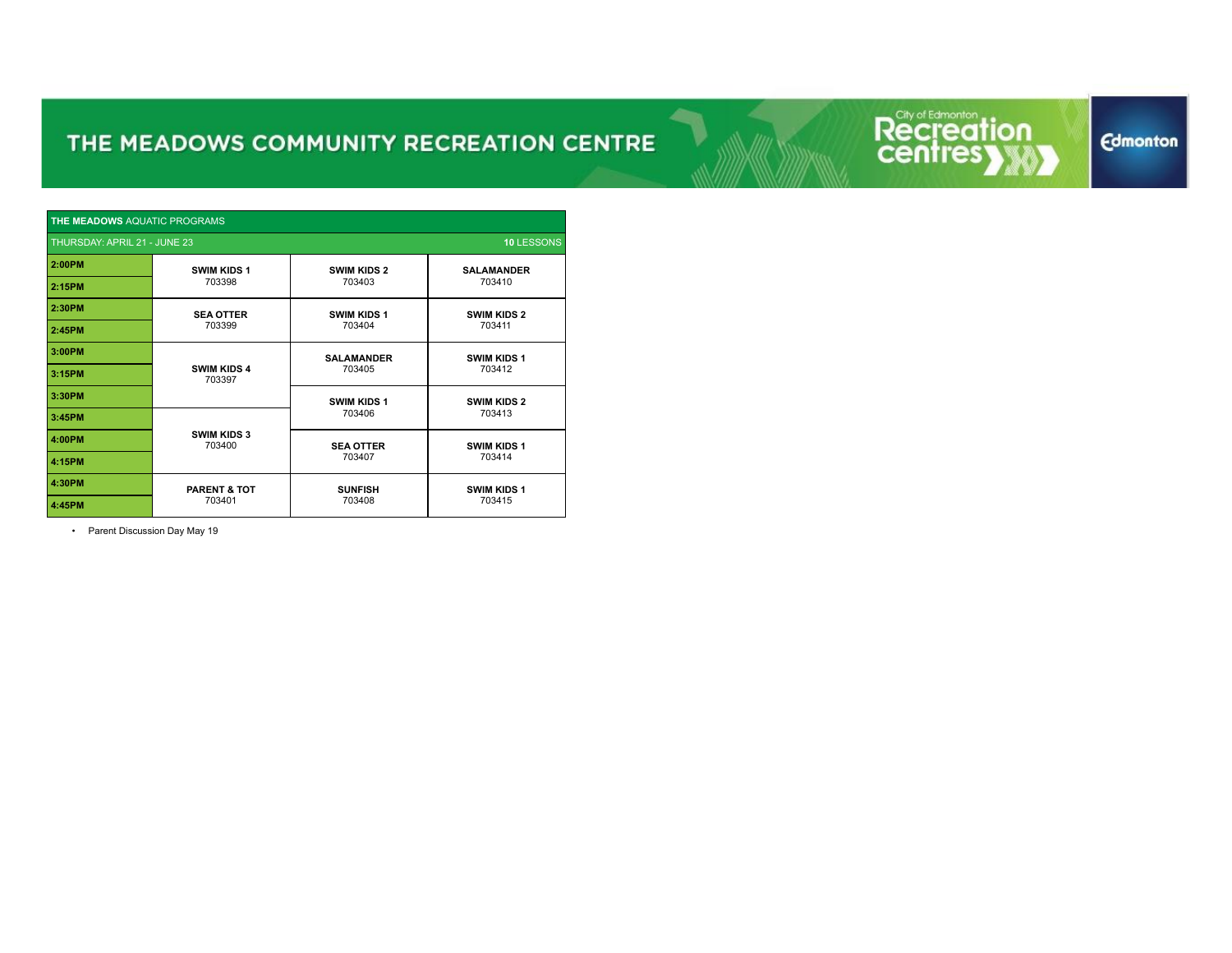Recreat ion

| <b>THE MEADOWS AQUATIC PROGRAMS</b>        |                              |                    |                    |  |  |  |  |
|--------------------------------------------|------------------------------|--------------------|--------------------|--|--|--|--|
| 10 LESSONS<br>THURSDAY: APRIL 21 - JUNE 23 |                              |                    |                    |  |  |  |  |
| 2:00PM                                     | <b>SWIM KIDS 1</b>           | <b>SWIM KIDS 2</b> | <b>SALAMANDER</b>  |  |  |  |  |
| 2:15PM                                     | 703398                       | 703403             | 703410             |  |  |  |  |
| 2:30PM                                     | <b>SEA OTTER</b>             | <b>SWIM KIDS 1</b> | <b>SWIM KIDS 2</b> |  |  |  |  |
| 2:45PM                                     | 703399                       | 703404             | 703411             |  |  |  |  |
| 3:00PM                                     |                              | <b>SALAMANDER</b>  | <b>SWIM KIDS 1</b> |  |  |  |  |
| 3:15PM                                     | <b>SWIM KIDS 4</b><br>703397 | 703405             | 703412             |  |  |  |  |
| 3:30PM                                     |                              | <b>SWIM KIDS 1</b> | <b>SWIM KIDS 2</b> |  |  |  |  |
| 3:45PM                                     |                              | 703406             | 703413             |  |  |  |  |
| 4:00PM                                     | <b>SWIM KIDS 3</b><br>703400 | <b>SEA OTTER</b>   | <b>SWIM KIDS 1</b> |  |  |  |  |
| 4:15PM                                     |                              | 703407             | 703414             |  |  |  |  |
| 4:30PM                                     | <b>PARENT &amp; TOT</b>      | <b>SUNFISH</b>     | <b>SWIM KIDS 1</b> |  |  |  |  |
| 4:45PM                                     | 703401                       | 703408             | 703415             |  |  |  |  |

• Parent Discussion Day May 19

**Edmonton**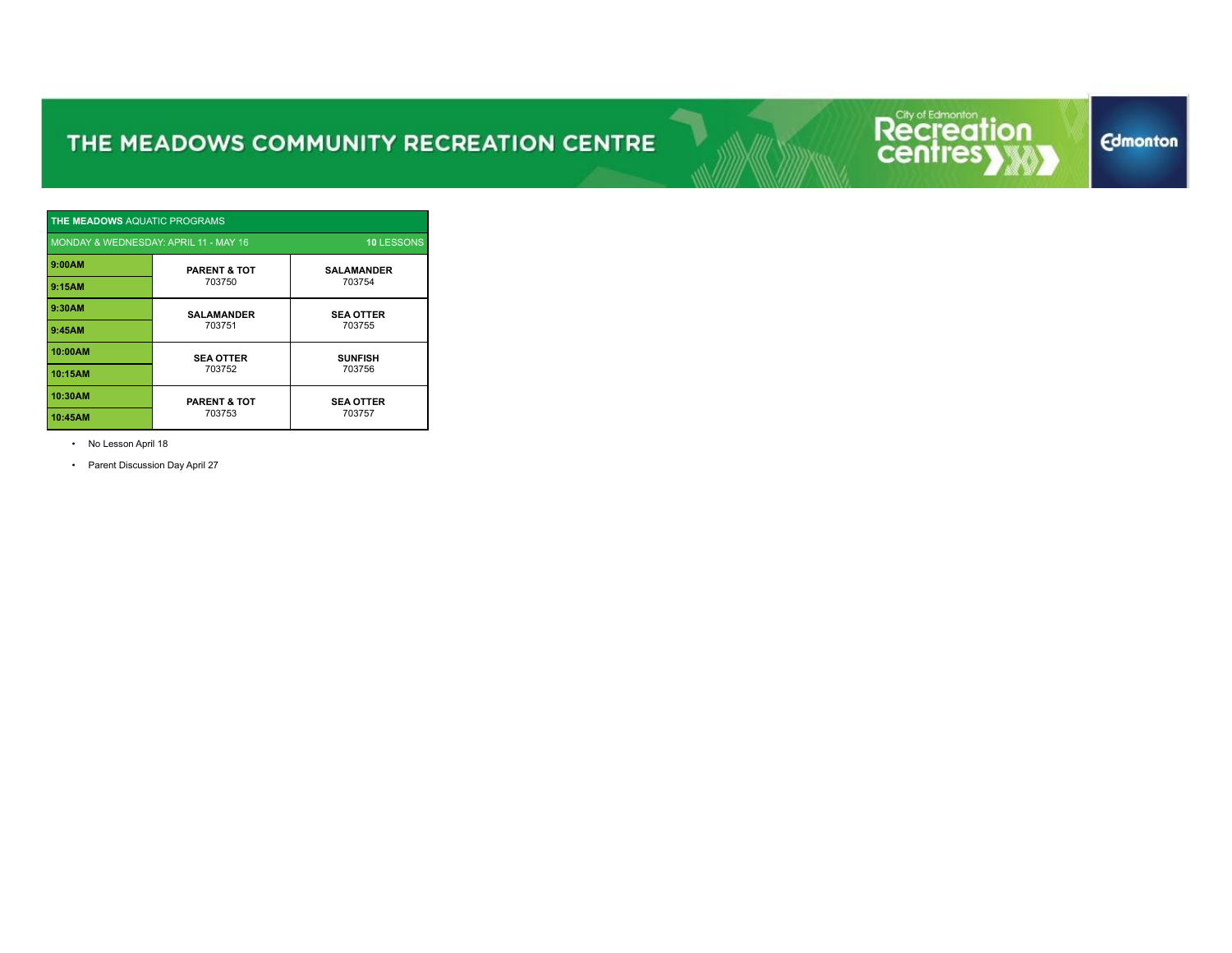

| <b>THE MEADOWS AQUATIC PROGRAMS</b>                        |                         |                   |  |  |  |  |  |
|------------------------------------------------------------|-------------------------|-------------------|--|--|--|--|--|
| MONDAY & WEDNESDAY: APRIL 11 - MAY 16<br><b>10 LESSONS</b> |                         |                   |  |  |  |  |  |
| 9:00AM                                                     | <b>PARENT &amp; TOT</b> | <b>SALAMANDER</b> |  |  |  |  |  |
| 9:15AM                                                     | 703750                  | 703754            |  |  |  |  |  |
| 9:30AM                                                     | <b>SALAMANDER</b>       | <b>SEA OTTER</b>  |  |  |  |  |  |
| 9:45AM                                                     | 703751                  | 703755            |  |  |  |  |  |
| 10:00AM                                                    | <b>SEA OTTER</b>        | <b>SUNFISH</b>    |  |  |  |  |  |
| 10:15AM                                                    | 703752                  | 703756            |  |  |  |  |  |
| 10:30AM                                                    | <b>PARENT &amp; TOT</b> | <b>SEA OTTER</b>  |  |  |  |  |  |
| 10:45AM                                                    | 703753                  | 703757            |  |  |  |  |  |

• No Lesson April 18

• Parent Discussion Day April 27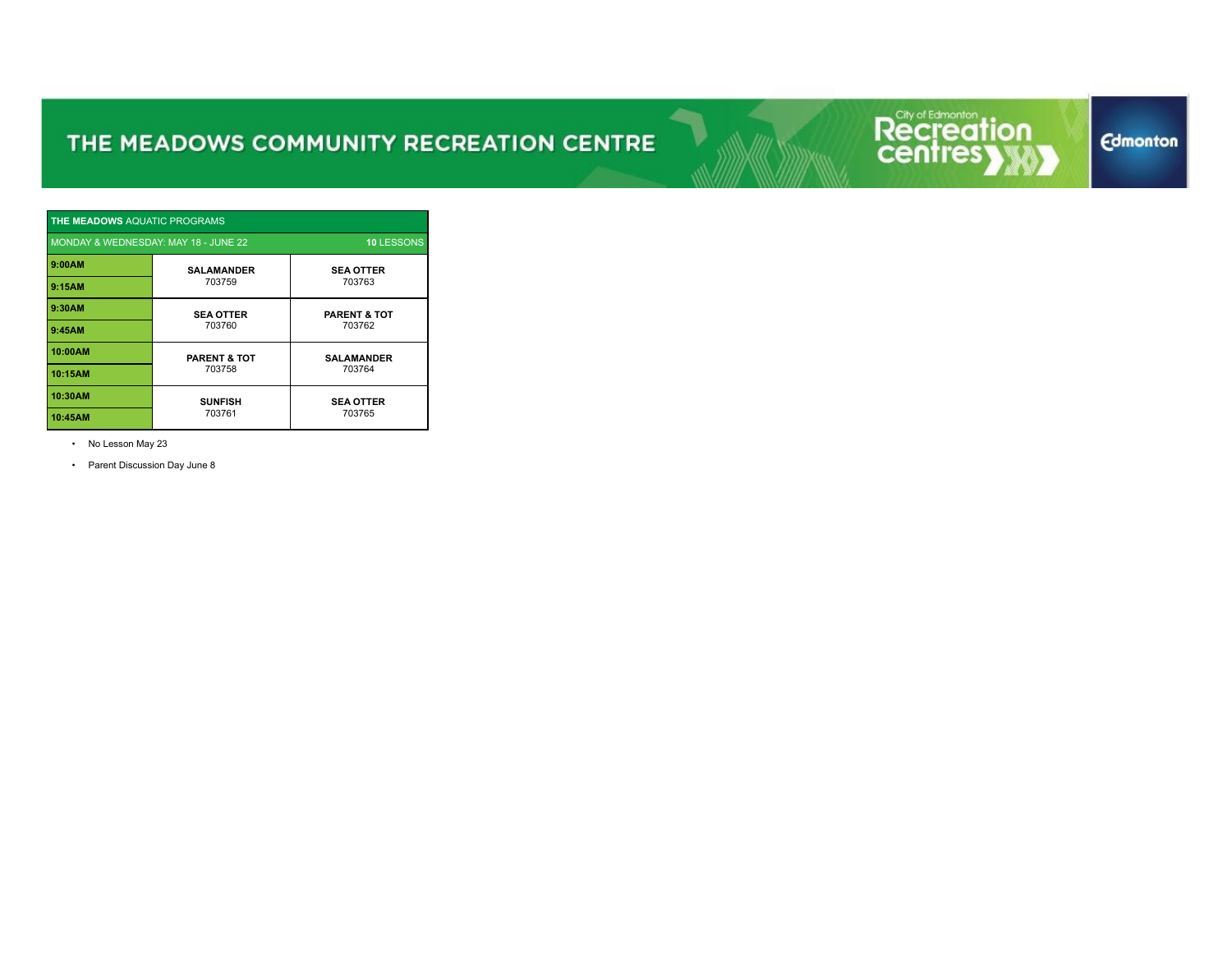

| <b>THE MEADOWS AQUATIC PROGRAMS</b>                       |                         |                         |  |  |  |  |  |
|-----------------------------------------------------------|-------------------------|-------------------------|--|--|--|--|--|
| MONDAY & WEDNESDAY: MAY 18 - JUNE 22<br><b>10 LESSONS</b> |                         |                         |  |  |  |  |  |
| 9:00AM                                                    | <b>SALAMANDER</b>       | <b>SEA OTTER</b>        |  |  |  |  |  |
| 9:15AM                                                    | 703759                  | 703763                  |  |  |  |  |  |
| 9:30AM                                                    | <b>SEA OTTER</b>        | <b>PARENT &amp; TOT</b> |  |  |  |  |  |
| 9:45AM                                                    | 703760                  | 703762                  |  |  |  |  |  |
| 10:00AM                                                   | <b>PARENT &amp; TOT</b> | <b>SALAMANDER</b>       |  |  |  |  |  |
| 10:15AM                                                   | 703758                  | 703764                  |  |  |  |  |  |
| 10:30AM                                                   | <b>SUNFISH</b>          | <b>SEA OTTER</b>        |  |  |  |  |  |
| 10:45AM                                                   | 703761                  | 703765                  |  |  |  |  |  |

• No Lesson May 23

• Parent Discussion Day June 8